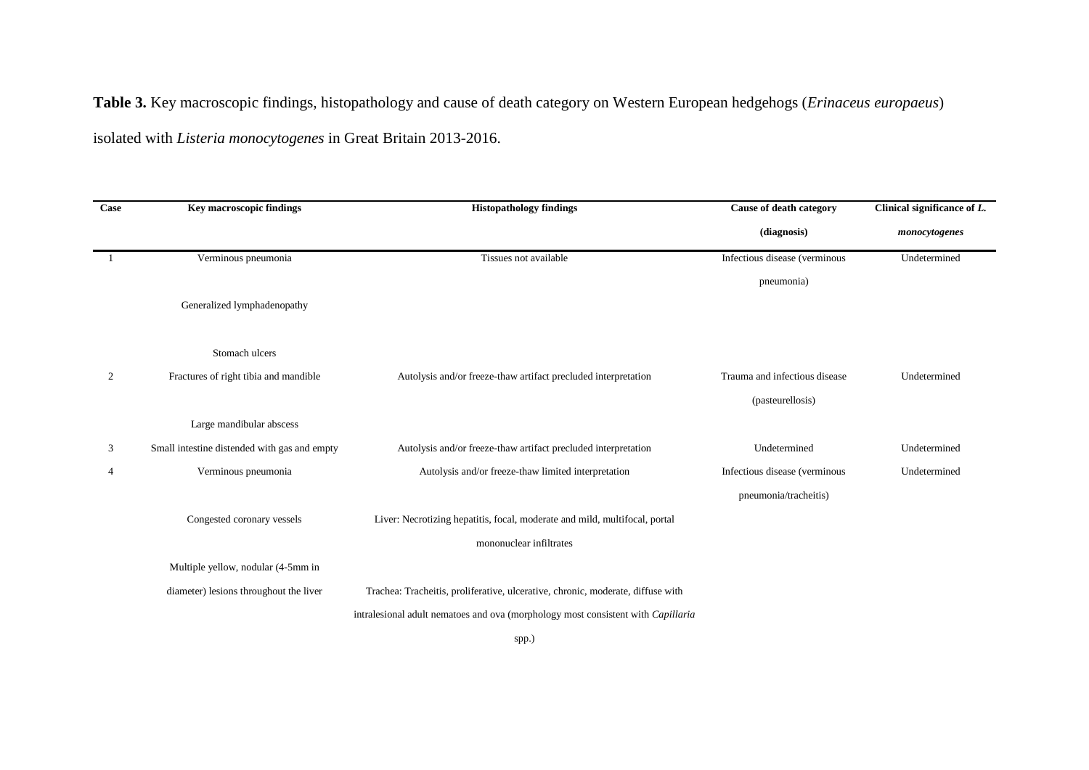**Table 3.** Key macroscopic findings, histopathology and cause of death category on Western European hedgehogs (*Erinaceus europaeus*)

isolated with *Listeria monocytogenes* in Great Britain 2013-2016.

| Case | <b>Key macroscopic findings</b>              | <b>Histopathology findings</b>                                                   | Cause of death category       | Clinical significance of $L$ . |
|------|----------------------------------------------|----------------------------------------------------------------------------------|-------------------------------|--------------------------------|
|      |                                              |                                                                                  | (diagnosis)                   | monocytogenes                  |
|      | Verminous pneumonia                          | Tissues not available                                                            | Infectious disease (verminous | Undetermined                   |
|      |                                              |                                                                                  | pneumonia)                    |                                |
|      | Generalized lymphadenopathy                  |                                                                                  |                               |                                |
|      | Stomach ulcers                               |                                                                                  |                               |                                |
| 2    | Fractures of right tibia and mandible        | Autolysis and/or freeze-thaw artifact precluded interpretation                   | Trauma and infectious disease | Undetermined                   |
|      |                                              |                                                                                  | (pasteurellosis)              |                                |
|      | Large mandibular abscess                     |                                                                                  |                               |                                |
| 3    | Small intestine distended with gas and empty | Autolysis and/or freeze-thaw artifact precluded interpretation                   | Undetermined                  | Undetermined                   |
| 4    | Verminous pneumonia                          | Autolysis and/or freeze-thaw limited interpretation                              | Infectious disease (verminous | Undetermined                   |
|      |                                              |                                                                                  | pneumonia/tracheitis)         |                                |
|      | Congested coronary vessels                   | Liver: Necrotizing hepatitis, focal, moderate and mild, multifocal, portal       |                               |                                |
|      |                                              | mononuclear infiltrates                                                          |                               |                                |
|      | Multiple yellow, nodular (4-5mm in           |                                                                                  |                               |                                |
|      | diameter) lesions throughout the liver       | Trachea: Tracheitis, proliferative, ulcerative, chronic, moderate, diffuse with  |                               |                                |
|      |                                              | intralesional adult nematoes and ova (morphology most consistent with Capillaria |                               |                                |